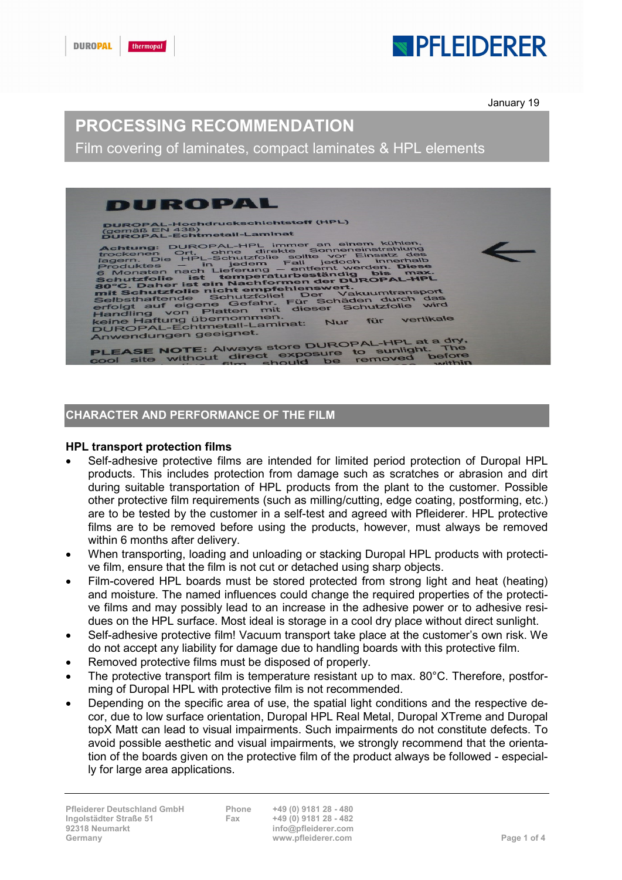## **SPELEIDERER**

January 19

### PROCESSING RECOMMENDATION

Film covering of laminates, compact laminates & HPL elements



### CHARACTER AND PERFORMANCE OF THE FILM

#### HPL transport protection films

- Self-adhesive protective films are intended for limited period protection of Duropal HPL products. This includes protection from damage such as scratches or abrasion and dirt during suitable transportation of HPL products from the plant to the customer. Possible other protective film requirements (such as milling/cutting, edge coating, postforming, etc.) are to be tested by the customer in a self-test and agreed with Pfleiderer. HPL protective films are to be removed before using the products, however, must always be removed within 6 months after delivery.
- When transporting, loading and unloading or stacking Duropal HPL products with protective film, ensure that the film is not cut or detached using sharp objects.
- Film-covered HPL boards must be stored protected from strong light and heat (heating) and moisture. The named influences could change the required properties of the protective films and may possibly lead to an increase in the adhesive power or to adhesive residues on the HPL surface. Most ideal is storage in a cool dry place without direct sunlight.
- Self-adhesive protective film! Vacuum transport take place at the customer's own risk. We do not accept any liability for damage due to handling boards with this protective film.
- Removed protective films must be disposed of properly.
- The protective transport film is temperature resistant up to max. 80°C. Therefore, postforming of Duropal HPL with protective film is not recommended.
- Depending on the specific area of use, the spatial light conditions and the respective decor, due to low surface orientation, Duropal HPL Real Metal, Duropal XTreme and Duropal topX Matt can lead to visual impairments. Such impairments do not constitute defects. To avoid possible aesthetic and visual impairments, we strongly recommend that the orientation of the boards given on the protective film of the product always be followed - especially for large area applications.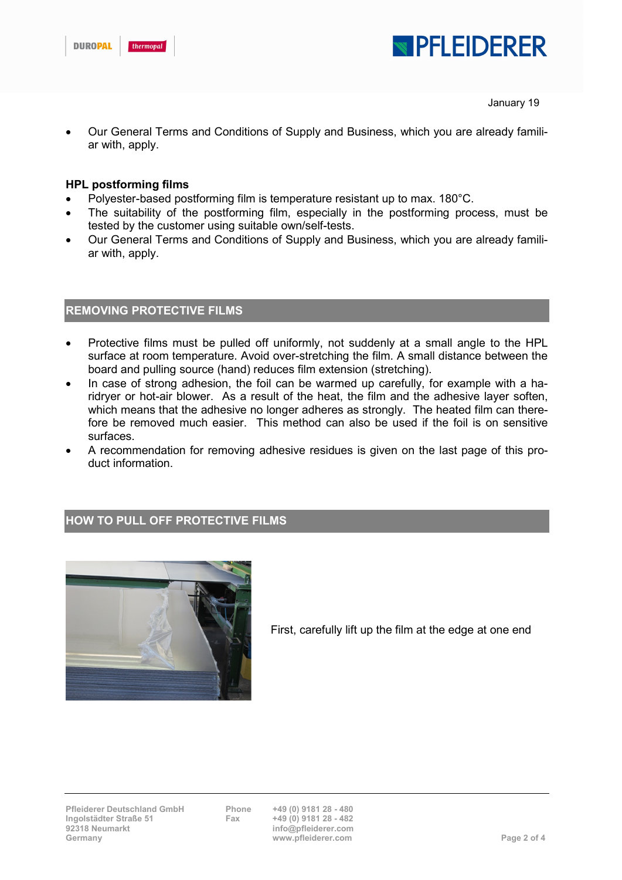



January 19

 Our General Terms and Conditions of Supply and Business, which you are already familiar with, apply.

#### HPL postforming films

- Polyester-based postforming film is temperature resistant up to max. 180°C.
- The suitability of the postforming film, especially in the postforming process, must be tested by the customer using suitable own/self-tests.
- Our General Terms and Conditions of Supply and Business, which you are already familiar with, apply.

#### REMOVING PROTECTIVE FILMS

- Protective films must be pulled off uniformly, not suddenly at a small angle to the HPL surface at room temperature. Avoid over-stretching the film. A small distance between the board and pulling source (hand) reduces film extension (stretching).
- In case of strong adhesion, the foil can be warmed up carefully, for example with a haridryer or hot-air blower. As a result of the heat, the film and the adhesive layer soften, which means that the adhesive no longer adheres as strongly. The heated film can therefore be removed much easier. This method can also be used if the foil is on sensitive surfaces.
- A recommendation for removing adhesive residues is given on the last page of this product information.

#### HOW TO PULL OFF PROTECTIVE FILMS



First, carefully lift up the film at the edge at one end

info@pfleiderer.com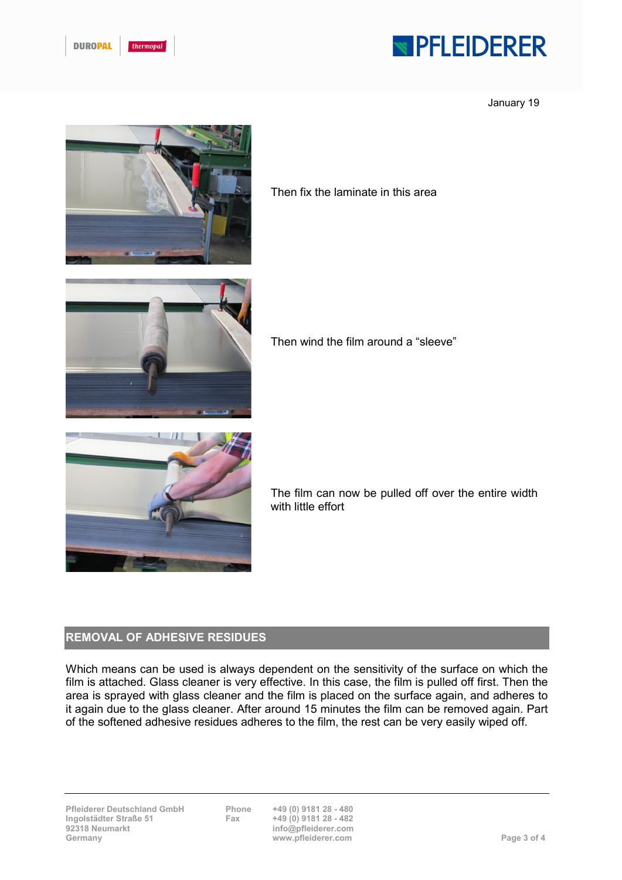| <b>DUROPA</b> | thermopal |
|---------------|-----------|
|               |           |

# **NPFLEIDERER**

January 19



Then fix the laminate in this area



Then wind the film around a "sleeve"



The film can now be pulled off over the entire width with little effort

#### REMOVAL OF ADHESIVE RESIDUES

Which means can be used is always dependent on the sensitivity of the surface on which the film is attached. Glass cleaner is very effective. In this case, the film is pulled off first. Then the area is sprayed with glass cleaner and the film is placed on the surface again, and adheres to it again due to the glass cleaner. After around 15 minutes the film can be removed again. Part of the softened adhesive residues adheres to the film, the rest can be very easily wiped off.

info@pfleiderer.com